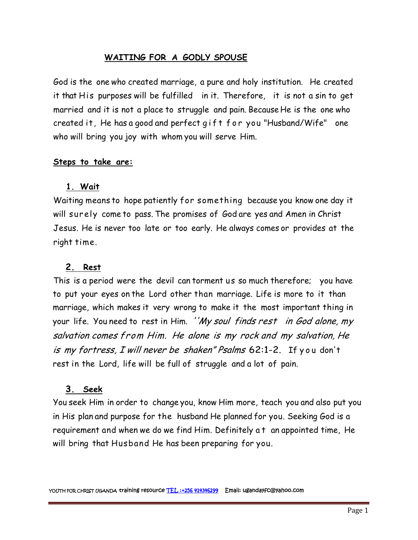## **WAITING FOR A GODLY SPOUSE**

God is the one who created marriage, a pure and holy institution. He created it that His purposes will be fulfilled in it. Therefore, it is not a sin to get married and it is not a place to struggle and pain. Because He is the one who God is the one who created marriage, a pure and holy institution. He created<br>it that His purposes will be fulfilled in it. Therefore, it is not a sin to get<br>married and it is not a place to struggle and pain. Because He is who will bring you joy with whom you will serve Him.

#### **Steps to take are:**

#### **1. Wait**

Waiting means to hope patiently for something because you know one day it will surely come to pass. The promises of God are yes and Amen in Christ Jesus. He is never too late or too early. He always comes or provides at the right time.

## **2. Rest**

This is a period were the devil can torment us so much therefore; you have to put your eyes on the Lord other than marriage. Life is more to it than marriage, which makes it very wrong to make it the most important thing in your life. You need to rest in Him. *''My soul finds rest in God alone, my salvation comes from Him. He alone is my rock and my salvation, He is* marriage, which makes it very wrong to make it the most important thing in<br>your life. You need to rest in Him. *''My soul finds rest in God alone, my*<br>*salvation comes from Him. He alone is my rock and my salvation, H* rest in the Lord, life will be full of struggle and a lot of pain.

#### **3. Seek**

You seek Him in order to change you, know Him more, teach you and also put you in His plan and purpose for the husband He planned for you. Seeking God is a 3. Seek<br>You seek Him in order to change you, know Him more, teach you and also put you<br>in His plan and purpose for the husband He planned for you. Seeking God is a<br>requirement and when we do we find Him. Definitely a t an will bring that Husband He has been preparing for you.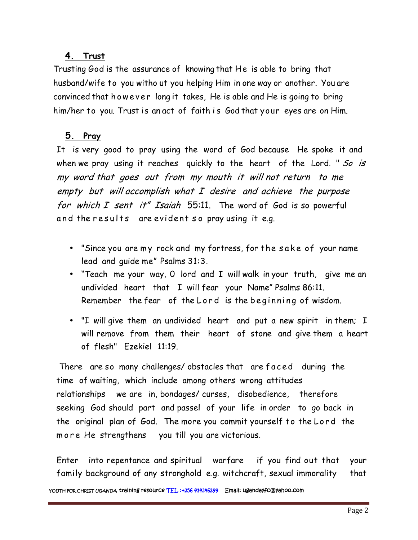## **4. Trust**

Trusting God is the assurance of knowing that He is able to bring that husband/wife to you witho ut you helping Him in one way or another. You are 4. Trust<br>Trusting God is the assurance of knowing that He is able to bring that<br>husband/wife to you witho ut you helping Him in one way or another. You are<br>convinced that how ever long it takes, He is able and He is going Trusting God is the assurance of knowing that He is able to bring that<br>husband/wife to you witho ut you helping Him in one way or another. You are<br>convinced that however long it takes, He is able and He is going to bring<br>h

# **5. Pray**

It is very good to pray using the word of God because He spoke it and when we pray using it reaches quickly to the heart of the Lord. " *So is my word that goes out from my mouth it will not return to me empty but will accomplish what I desire and achieve the purpose for which I sent it" Isaiah* 55:11. The word of God is so powerful my word that goes out from my mouth it will not re<br>empty but will accomplish what I desire and achieve<br>for which I sent it" Isaiah 55:11. The word of God<br>and the results are evident so pray using it e.g. which I sent it" Isaiah 55:11. The word of God is so powerful<br>d the results are evident so pray using it e.g.<br>• "Since you are my rock and my fortress, for the sake of your name<br>lead and guide me" Psalms 31:3.

- lead and guide me" Psalms 31:3.
- "Teach me your way, 0 lord and I will walk in your truth, give me an undivided heart that I will fear your Name" Psalms 86:11. Fince you are my rock and my fortress, for the sake of your name<br>
lead and guide me" Psalms 31:3.<br>
Teach me your way, O lord and I will walk in your truth, give me an<br>
undivided heart that I will fear your Name" Psalms 86:
- will remove from them their heart of stone and give them a heart of flesh" Ezekiel 11:19. • "I will give them an undivided heart and put a new spirit in them; I<br>will remove from them their heart of stone and give them a heart<br>of flesh" Ezekiel 11:19.<br>There are so many challenges/ obstacles that are faced during

time of waiting, which include among others wrong attitudes relationships we are in, bondages/ curses, disobedience, therefore seeking God should part and passel of your life in order to go back in There are so many challenges/obstacles that are faced during the<br>time of waiting, which include among others wrong attitudes<br>relationships we are in, bondages/curses, disobedience, therefore<br>seeking God should part and pas relationships we are in, bondages/curses, disobedier<br>seeking God should part and passel of your life in or<br>the original plan of God. The more you commit yourse<br>more He strengthens you till you are victorious.

Enter into repentance and spiritual warfare if you find out that your family background of any stronghold e.g. witchcraft, sexual immorality that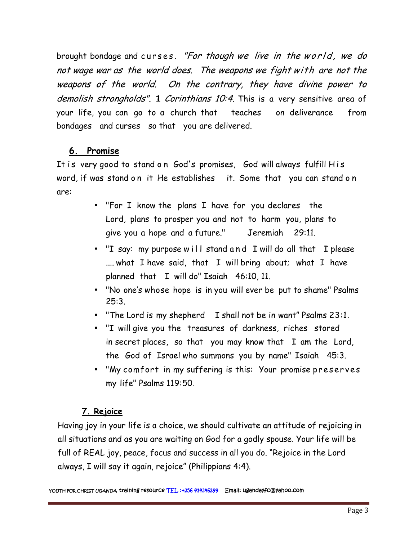brought bondage and c u r s e s . *"For though we live in the <sup>w</sup> <sup>o</sup> <sup>r</sup> <sup>l</sup> <sup>d</sup> , we do not wage war as the world does. The weapons we fight with are not the weapons of the world. On the contrary, they have divine power to demolish strongholds".* 1 *Corinthians 10:4.* This is <sup>a</sup> very sensitive area of your life, you can go to a church that teaches on deliverance from bondages and curses so that you are delivered.

# **6. Promise**

It is very good to stand on God's promises, God will always fulfill His<br>word, if was stand on it He establishes it. Some that you can stand on beshadges and carees so marrived are denvered.<br> **6. Promise**<br>
It is very good to stand on God's promises, God will always fulfill His<br>
word, if was stand on it He establishes it. Some that you can stand on<br>
are: are:

- "For I know the plans I have for you declares the Lord, plans to prosper you and not to harm you, plans to give you a hope and a future." Jeremiah 29:11.
- "I say: my purpose will stand and I will do all that I please .... what I have said, that I will bring about; what I have planned that I will do" Isaiah 46:10, 11.
- "No one's whose hope is in you will ever be put to shame" Psalms 25:3.
- "The Lord is my shepherd I shall not be in want" Psalms 23:1.
- "I willgive you the treasures of darkness, riches stored in secret places, so that you may know that I am the Lord, the God of Israel who summons you by name" Isaiah 45:3. T will give you the treasures of darkness, riches stored<br>in secret places, so that you may know that I am the Lord,<br>the God of Israel who summons you by name" Isaiah 45:3.<br>• "My comfort in my suffering is this: Your promis
- my life" Psalms 119:50.

# **7. Rejoice**

Having joy in your life is a choice, we should cultivate an attitude of rejoicing in all situations and as you are waiting on God for a godly spouse. Your life will be full of REAL joy, peace, focus and success in all you do. "Rejoice in the Lord always, I will say it again, rejoice" (Philippians 4:4).